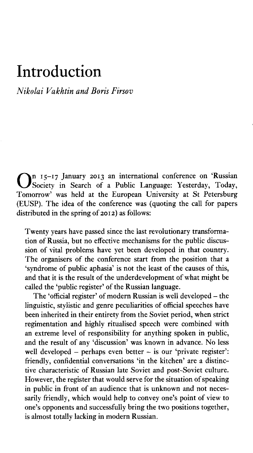## Introduction

## *Nikolai Vakhtin and Boris Firsov*

On 15-17 January 2013 an international conference on 'Russian<br>Society in Search of a Public Language: Yesterday, Today, Society in Search of a Public Language: Yesterday, Today, Tomorrow' was held at the European University at St Petersburg (EUSP). The idea of the conference was (quoting the call for papers distributed in the spring of 2012) as follows:

Twenty years have passed since the last revolutionary transformation of Russia, but no effective mechanisms for the public discussion of vital problems have yet been developed in that country. The organisers of the conference start from the position that a 'syndrome of public aphasia' is not the least of the causes of this, and that it is the result of the underdevelopment of what might be called the 'public register' of the Russian language.

The 'official register' of modern Russian is well developed – the linguistic, stylistic and genre peculiarities of official speeches have been inherited in their entirety from the Soviet period, when strict regimentation and highly ritualised speech were combined with an extreme level of responsibility for anything spoken in public, and the result of any 'discussion' was known in advance. No less well developed - perhaps even better - is our 'private register': friendly, confidential conversations 'in the kitchen' are a distinctive characteristic of Russian late Soviet and post-Soviet culture. However, the register that would serve for the situation of speaking in public in front of an audience that is unknown and not necessarily friendly, which would help to convey one's point of view to one's opponents and successfully bring the two positions together, is almost totally lacking in modern Russian.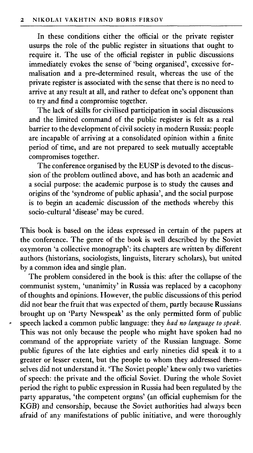In these conditions either the official or the private register usurps the role of the public register in situations that ought to require it. The use of the official register in public discussions immediately evokes the sense of 'being organised', excessive formalisation and a pre-determined result, whereas the use of the private register is associated with the sense that there is no need to arrive at any result at all, and rather to defeat one's opponent than to try and find a compromise together.

The lack of skills for civilised participation in social discussions and the limited command of the public register is felt as a real barrier to the development of civil society in modern Russia: people are incapable of arriving at a consolidated opinion within a finite period of time, and are not prepared to seek mutually acceptable compromises together.

The conference organised by the EUSP is devoted to the discussion of the problem outlined above, and has both an academic and a social purpose: the academic purpose is to study the causes and origins of the 'syndrome of public aphasia', and the social purpose is to begin an academic discussion of the methods whereby this socio-cultural 'disease' may be cured.

This book is based on the ideas expressed in certain of the papers at the conference. The genre of the book is well described by the Soviet oxymoron 'a collective monograph': its chapters are written by different authors (historians, sociologists, linguists, literary scholars), but united by a common idea and single plan.

The problem considered in the book is this: after the collapse of the communist system, 'unanimity' in Russia was replaced by a cacophony of thoughts and opinions. However, the public discussions of this period did not bear the fruit that was expected of them, partly because Russians brought up on 'Party Newspeak' as the only permitted form of public speech lacked a common public language: they *had no language to speak.* This was not only because the people who might have spoken had no command of the appropriate variety of the Russian language. Some public figures of the late eighties and early nineties did speak it to a greater or lesser extent, but the people to whom they addressed themselves did not understand it. 'The Soviet people' knew only two varieties of speech: the private and the official Soviet. During the whole Soviet period the right to public expression in Russia had been regulated by the party apparatus, 'the competent organs' (an official euphemism for the KGB) and censorship, because the Soviet authorities had always been afraid of any manifestations of public initiative, and were thoroughly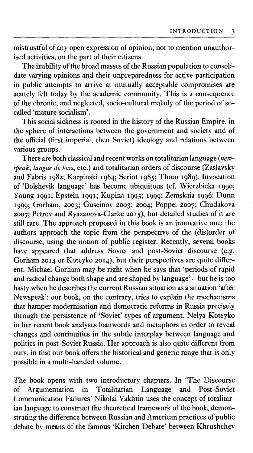mistrustful of any open expression of opinion, not to mention unauthorised activities, on the part of their citizens.

The inability of the broad masses of the Russian population to consolidate varying opinions and their unpreparedness for active participation in public attempts to arrive at mutually acceptable compromises are acutely felt today by the academic community. This is a consequence of the chronic, and neglected, socio-cultural malady of the period of socalled 'mature socialism'.

This social sickness is rooted in the history of the Russian Empire, in the sphere of interactions between the government and society and of the official (first imperial, then Soviet) ideology and relations between various groups.<sup>1</sup>

There are both classical and recent works on totalitarian language (*newspeak*, *langue de bois,* etc.) and totalitarian orders of discourse (Zaslavsky and Fabris 1982; Karpinski 1984; Seriot 1985; Thom 1989). Invocation of 'Bolshevik language' has become ubiquitous (cf. Wierzbicka 1990; Young 1991; Epstein 1991; Kupina 1995; 1999; Zemskaia 1996; Dunn 1999; Gorham, 2003; Guseinov 2003; 2004; Poppel 2007; Chudakova 2007; Petrov and Ryazanova-Clarke 2015), but detailed studies of it are still rare. The approach proposed in this book is an innovative one: the authors approach the topic from the perspective of the (dis)order of discourse, using the notion of public register. Recently, several books have appeared that address Soviet and post-Soviet discourse (e.g. Gorham 2014 or Koteyko 2014), but their perspectives are quite different. Michael Gorham may be right when he says that 'periods of rapid and radical change both shape and are shaped by language' - but he is too hasty when he describes the current Russian situation as a situation 'after Newspeak': our book, on the contrary, tries to explain the mechanisms that hamper modernisation and democratic reforms in Russia precisely through the persistence of 'Soviet' types of argument. Nelya Koteyko in her recent book analyses loanwords and metaphors in order to reveal changes and continuities in the subtle interplay between language and politics in post-Soviet Russia. Her approach is also quite different from ours, in that our book offers the historical and generic range that is only possible in a multi-handed volume.

The book opens with two introductory chapters. In 'The Discourse of Argumentation in Totalitarian Language and Post-Soviet Communication Failures' Nikolai Vakhtin uses the concept of totalitarian language to construct the theoretical framework of the book, demonstrating the difference between Russian and American practices of public debate by means of the famous 'Kitchen Debate' between Khrushchev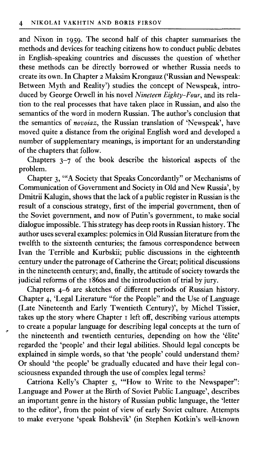and Nixon in 1959. The second half of this chapter summarises the methods and devices for teaching citizens how to conduct public debates in English-speaking countries and discusses the question of whether these methods can be directly borrowed or whether Russia needs to create its own. In Chapter 2 Maksim Krongauz ('Russian and Newspeak: Between Myth and Reality') studies the concept of Newspeak, introduced by George Orwell in his novel *Nineteen Eighty-Four*, and its relation to the real processes that have taken place in Russian, and also the semantics of the word in modern Russian. The author's conclusion that the semantics of *novoiaz,* the Russian translation of 'Newspeak', have moved quite a distance from the original English word and developed a number of supplementary meanings, is important for an understanding of the chapters that follow.

Chapters 3-7 of the book describe the historical aspects of the problem.

Chapter 3, "A Society that Speaks Concordantly" or Mechanisms of Communication of Government and Society in Old and New Russia', by Dmitrii Kalugin, shows that the lack of a public register in Russian is the result of a conscious strategy, first of the imperial government, then of the Soviet government, and now of Putin's government, to make social dialogue impossible. This strategy has deep roots in Russian history. The author uses several examples: polemics in Old Russian literature from the twelfth to the sixteenth centuries; the famous correspondence between Ivan the Terrible and Kurbskii; public discussions in the eighteenth century under the patronage of Catherine the Great; political discussions in the nineteenth century; and, finally, the attitude of society towards the judicial reforms of the 1860s and the introduction of trial by jury.

Chapters 4-6 are sketches of different periods of Russian history. Chapter 4, 'Legal Literature " for the People" and the Use of Language (Late Nineteenth and Early Twentieth Century)', by Michel Tissier, takes up the story where Chapter 1 left off, describing various attempts to create a popular language for describing legal concepts at the turn of the nineteenth and twentieth centuries, depending on how the 'élite' regarded the 'people' and their legal abilities. Should legal concepts be explained in simple words, so that 'the people' could understand them? Or should 'the people' be gradually educated and have their legal consciousness expanded through the use of complex legal terms?

Catriona Kelly's Chapter 5, "How to Write to the Newspaper": Language and Power at the Birth of Soviet Public Language', describes an important genre in the history of Russian public language, the 'letter to the editor', from the point of view of early Soviet culture. Attempts to make everyone 'speak Bolshevik' (in Stephen Kotkin's well-known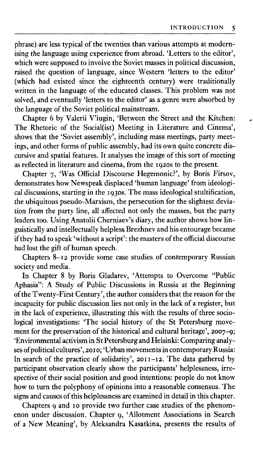phrase) are less typical of the twenties than various attempts at modernising the language using experience from abroad. 'Letters to the editor', which were supposed to involve the Soviet masses in political discussion, raised the question of language, since Western 'letters to the editor' (which had existed since the eighteenth century) were traditionally written in the language of the educated classes. This problem was not solved, and eventually 'letters to the editor' as a genre were absorbed by the language of the Soviet political mainstream.

Chapter 6 by Valerii V'iugin, 'Between the Street and the Kitchen: The Rhetoric of the Social(ist) Meeting in Literature and Cinema', shows that the 'Soviet assembly', including mass meetings, party meetings, and other forms of public assembly, had its own quite concrete discursive and spatial features. It analyses the image of this sort of meeting as reflected in literature and cinema, from the 1920s to the present.

Chapter 7, 'Was Official Discourse Hegemonic?', by Boris Firsov, demonstrates how Newspeak displaced 'human language' from ideological discussions, starting in the 1930s. The mass ideological stultification, the ubiquitous pseudo-Marxism, the persecution for the slightest deviation from the party line, all affected not only the masses, but the party leaders too. Using Anatolii Cherniaev's diary, the author shows how linguistically and intellectually helpless Brezhnev and his entourage became if they had to speak 'without a script': the masters of the official discourse had lost the gift of human speech.

Chapters 8-12 provide some case studies of contemporary Russian society and media.

In Chapter 8 by Boris Gladarev, 'Attempts to Overcome "Public Aphasia": A Study of Public Discussions in Russia at the Beginning of the Twenty-First Century', the author considers that the reason for the incapacity for public discussion lies not only in the lack of a register, but in the lack of experience, illustrating this with the results of three sociological investigations: 'The social history of the St Petersburg movement for the preservation of the historical and cultural heritage', 2007-9; 'Environmental activism in St Petersburg and Helsinki: Comparing analyses of political cultures', 2010; 'Urban movements in contemporary Russia: In search of the practice of solidarity', 2011-12. The data gathered by participant observation clearly show the participants' helplessness, irrespective of their social position and good intentions: people do not know how to turn the polyphony of opinions into a reasonable consensus. The signs and causes of this helplessness are examined in detail in this chapter.

Chapters 9 and 10 provide two further case studies of the phenomenon under discussion. Chapter 9, 'Allotment Associations in Search of a New Meaning', by Aleksandra Kasatkina, presents the results of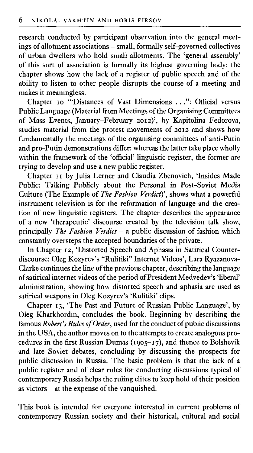research conducted by participant observation into the general meetings of allotment associations - small, formally self-governed collectives of urban dwellers who hold small allotments. The 'general assembly' of this sort of association is formally its highest governing body: the chapter shows how the lack of a register of public speech and of the ability to listen to other people disrupts the course of a meeting and makes it meaningless.

Chapter 10 "Distances of Vast Dimensions . . .": Official versus Public Language (Material from Meetings of the Organising Committees of Mass Events, January-February 2012)', by Kapitolina Fedorova, studies material from the protest movements of 2012 and shows how fundamentally the meetings of the organising committees of anti-Putin and pro-Putin demonstrations differ: whereas the latter take place wholly within the framework of the 'official' linguistic register, the former are trying to develop and use a new public register.

Chapter 11 by Julia Lerner and Claudia Zbenovich, 'Insides Made Public: Talking Publicly about the Personal in Post-Soviet Media Culture (The Example of *The Fashion Verdict)',* shows what a powerful instrument television is for the reformation of language and the creation of new linguistic registers. The chapter describes the appearance of a new 'therapeutic' discourse created by the television talk show, principally *The Fashion Verdict* - a public discussion of fashion which constantly oversteps the accepted boundaries of the private.

In Chapter 12, 'Distorted Speech and Aphasia in Satirical Counterdiscourse: Oleg Kozyrev's " Rulitiki" Internet Videos', Lara Ryazanova-Clarke continues the line of the previous chapter, describing the language of satirical internet videos of the period of President Medvedev's 'liberal' administration, showing how distorted speech and aphasia are used as satirical weapons in Oleg Kozyrev's 'Rulitiki' clips.

Chapter 13, 'The Past and Future of Russian Public Language', by Oleg Kharkhordin, concludes the book. Beginning by describing the famous *Robert's Rules of Order*, used for the conduct of public discussions in the USA, the author moves on to the attempts to create analogous procedures in the first Russian Dumas (1905-17), and thence to Bolshevik and late Soviet debates, concluding by discussing the prospects for public discussion in Russia. The basic problem is that the lack of a public register and of clear rules for conducting discussions typical of contemporary Russia helps the ruling elites to keep hold of their position as victors - at the expense of the vanquished.

This book is intended for everyone interested in current problems of contemporary Russian society and their historical, cultural and social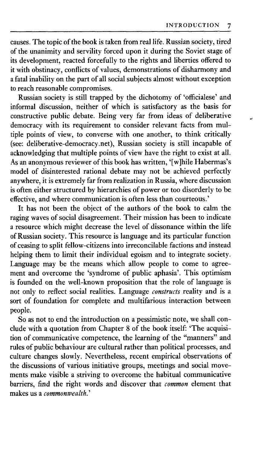causes. The topic of the book is taken from real life. Russian society, tired of the unanimity and servility forced upon it during the Soviet stage of its development, reacted forcefully to the rights and liberties offered to it with obstinacy, conflicts of values, demonstrations of disharmony and a fatal inability on the part of all social subjects almost without exception to reach reasonable compromises.

Russian society is still trapped by the dichotomy of 'officialese' and informal discussion, neither of which is satisfactory as the basis for constructive public debate. Being very far from ideas of deliberative democracy with its requirement to consider relevant facts from multiple points of view, to converse with one another, to think critically (see: deliberative-democracy.net), Russian society is still incapable of acknowledging that multiple points of view have the right to exist at all. As an anonymous reviewer of this book has written, '[w]hile Habermas's model of disinterested rational debate may not be achieved perfectly anywhere, it is extremely far from realization in Russia, where discussion is often either structured by hierarchies of power or too disorderly to be effective, and where communication is often less than courteous.'

It has not been the object of the authors of the book to calm the raging waves of social disagreement. Their mission has been to indicate a resource which might decrease the level of dissonance within the life of Russian society. This resource is language and its particular function of ceasing to split fellow-citizens into irreconcilable factions and instead helping them to limit their individual egoism and to integrate society. Language may be the means which allow people to come to agreement and overcome the 'syndrome of public aphasia'. This optimism is founded on the well-known proposition that the role of language is not only to reflect social realities. Language *constructs* reality and is a sort of foundation for complete and multifarious interaction between people.

So as not to end the introduction on a pessimistic note, we shall conclude with a quotation from Chapter 8 of the book itself: 'The acquisition of communicative competence, the learning of the "manners" and rules of public behaviour are cultural rather than political processes, and culture changes slowly. Nevertheless, recent empirical observations of the discussions of various initiative groups, meetings and social movements make visible a striving to overcome the habitual communicative barriers, find the right words and discover that *common* element that makes us a *commonwealth*.'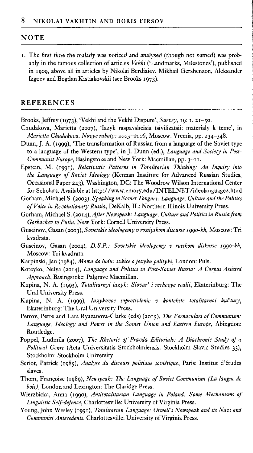#### **NOTE**

i. The first time the malady was noticed and analysed (though not named) was probably in the famous collection of articles Vekhi ('Landmarks, Milestones'), published in 1909, above all in articles by Nikolai Berdiaiev, Mikhail Gershenzon, Aleksander Izgoev and Bogdan Kistiakovskii (see Brooks 1973).

#### **REFERENCES**

Brooks, Jeffrey (1973), 'Vekhi and the Vekhi Dispute', *Survey,* 19: 1, 21-50 .

- Chudakova, Marietta (2007), 'Iazyk raspavsheisia tsivilizatsii: materialy k teme', in *Marietta Chudakova. Novye raboty: 2003-2006,* Moscow: Vremia, pp. 234-348.
- Dunn, J. A. (1999), 'The transformation of Russian from a language of the Soviet type to a language of the Western type', in J. Dunn (ed.), *Language and Society in Post-Communist Europe, Basingstoke and New York: Macmillan, pp. 3-11.*
- Epstein, M . (1991), *Relativistic Patterns in Totalitarian Thinking: An Inquiry into the Language of Soviet Ideology* (Kennan Institute for Advanced Russian Studies, Occasional Paper 243), Washington, DC: The Woodrow Wilson International Center for Scholars. Available at http://www.emory.edu/INTELNET/ideolanguage2.html

Gorham, Michael S. (2003), *Speaking in Soviet Tongues: Language, Culture and the Politics o f Voice in Revolutionary Russia,* DeKalb, IL : Northern Illinois University Press.

- Gorham, Michael S. (2014), *After Newspeak: Language, Culture and Politics in Russia from Gorbachev to Putin,* New York: Cornell University Press.
- Guseinov, Gasan (2003), *Sovetskie ideologemy v rossiyskom discurse iggo-kh,* Moscow: Tri kvadrata.
- Guseinov, Gasan (2004), *D.S.P.: Sovetskie ideologemy v russkom diskurse 1990-kh*, Moscow: Tri kvadrata.
- Karpinski, Jan (1984), *Mowa do ludu: szkice ojezyku polityki,* London: Puls.
- Koteyko, Nelya (2014), *Language and Politics in Post-Soviet Russia: A Corpus Assisted Approach,* Basingstoke: Palgrave Macmillan.
- Kupina, N . A. (1995), *Totalitarnyi iazyk: Slovar' i rechevye realii,* Ekaterinburg: The Ural University Press.
- Kupina, N. A. (1999), *Iazykovoe soprotivlenie v kontekste totalitarnoi kul'tury,* Ekaterinburg: The Ural University Press.
- Petrov, Petre and Lara Ryazanova-Clarke (eds) (2015), *The Vernaculars of Communism: Language, Ideology and Power in the Soviet Union and Eastern Europe,* Abingdon: Routledge.
- Poppel, Ludmila (2007), *The Rhetoric of Pravda Editorials: A Diachronic Study of a Political Genre* (Acta Universitatis Stockholmiensis. Stockholm Slavic Studies 33), Stockholm: Stockholm University.
- Seriot, Patrick (1985), *Analyse du discours politique soviétique,* Paris: Institut d'études slaves.
- Thom , Françoise (1989), *Newspeak: The Language o f Soviet Communism (La langue de bois),* London and Lexington: The Claridge Press.
- Wierzbicka, Anna (1990), *Antitotalitarian Language in Poland: Some Mechanisms of Linguistic Self-defence, Charlottesville: University of Virginia Press.*
- Young, John Wesley (1991), *Totalitarian Language: Orwell's Newspeak and its Nazi and Communist Antecedents, Charlottesville: University of Virginia Press.*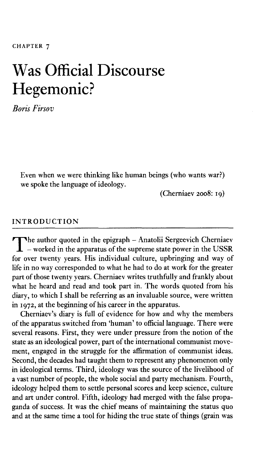# Was Official Discourse Hegemonic?

*Boris Firsov*

Even when we were thinking like human beings (who wants war?) we spoke the language of ideology.

(Cherniaev 2008: 19)

### **INTRODUCTION**

The author quoted in the epigraph – Anatolii Sergeevich Cherniaev<br>– worked in the apparatus of the supreme state power in the USSR<br>for over twenty years. His individual culture, unbringing and way of  $-$  worked in the apparatus of the supreme state power in the USSR for over twenty years. His individual culture, upbringing and way of life in no way corresponded to what he had to do at work for the greater part of those twenty years. Cherniaev writes truthfully and frankly about what he heard and read and took part in. The words quoted from his diary, to which I shall be referring as an invaluable source, were written in 1972, at the beginning of his career in the apparatus.

Cherniaev's diary is full of evidence for how and why the members of the apparatus switched from 'human' to official language. There were several reasons. First, they were under pressure from the notion of the state as an ideological power, part of the international communist movement, engaged in the struggle for the affirmation of communist ideas. Second, the decades had taught them to represent any phenomenon only in ideological terms. Third, ideology was the source of the livelihood of a vast number of people, the whole social and party mechanism. Fourth, ideology helped them to settle personal scores and keep science, culture and art under control. Fifth, ideology had merged with the false propaganda of success. It was the chief means of maintaining the status quo and at the same time a tool for hiding the true state of things (grain was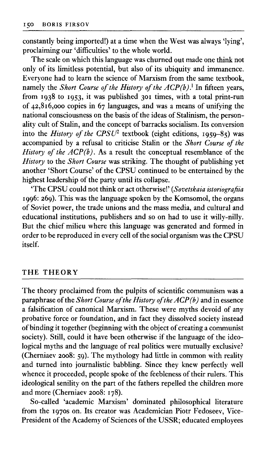constantly being imported!) at a time when the West was always 'lying', proclaiming our 'difficulties' to the whole world.

The scale on which this language was churned out made one think not only of its limitless potential, but also of its ubiquity and immanence. Everyone had to learn the science of Marxism from the same textbook, namely the *Short Course of the History of the ACP(b)*.<sup>1</sup> In fifteen years, from 1938 to 1953, it was published 301 times, with a total print-run of 42,816,000 copies in 67 languages, and was a means of unifying the national consciousness on the basis of the ideas of Stalinism, the personality cult of Stalin, and the concept of barracks socialism. Its conversion into the *History of the CPSU*<sup>2</sup> textbook (eight editions, 1959–85) was accompanied by a refusal to criticise Stalin or the *Short Course of the History of the*  $\widehat{ACP(b)}$ *.* As a result the conceptual resemblance of the *History* to the *Short Course* was striking. The thought of publishing yet another 'Short Course' of the CPSU continued to be entertained by the highest leadership of the party until its collapse.

'The CPSU could not think or act otherwise!' (*Sovetskaia istoriografiia* 1996: 269). This was the language spoken by the Komsomol, the organs of Soviet power, the trade unions and the mass media, and cultural and educational institutions, publishers and so on had to use it willy-nilly. But the chief milieu where this language was generated and formed in order to be reproduced in every cell of the social organism was the CPSU itself.

### **THE THEORY**

The theory proclaimed from the pulpits of scientific communism was a paraphrase of the *Short Course of the History of the ACP(b)* and in essence a falsification of canonical Marxism. These were myths devoid of any probative force or foundation, and in fact they dissolved society instead of binding it together (beginning with the object of creating a communist society). Still, could it have been otherwise if the language of the ideological myths and the language of real politics were mutually exclusive? (Cherniaev 2008: 59). The mythology had little in common with reality and turned into journalistic babbling. Since they knew perfectly well whence it proceeded, people spoke of the feebleness of their rulers. This ideological senility on the part of the fathers repelled the children more and more (Cherniaev 2008: 178).

So-called 'academic Marxism' dominated philosophical literature from the 1970s on. Its creator was Academician Piotr Fedoseev, Vice-President of the Academy of Sciences of the USSR; educated employees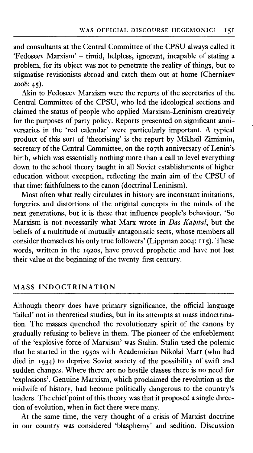and consultants at the Central Committee of the CPSU always called it 'Fedoseev Marxism' - timid, helpless, ignorant, incapable of stating a problem, for its object was not to penetrate the reality of things, but to stigmatise revisionists abroad and catch them out at home (Cherniaev 2008: 45).

Akin to Fedoseev Marxism were the reports of the secretaries of the Central Committee of the CPSU, who led the ideological sections and claimed the status of people who applied Marxism-Leninism creatively for the purposes of party policy. Reports presented on significant anniversaries in the 'red calendar' were particularly important. A typical product of this sort of 'theorising' is the report by Mikhail Zimianin, secretary of the Central Committee, on the 107th anniversary of Lenin's birth, which was essentially nothing more than a call to level everything down to the school theory taught in all Soviet establishments of higher education without exception, reflecting the main aim of the CPSU of that time: faithfulness to the canon (doctrinal Leninism).

Most often what really circulates in history are inconstant imitations, forgeries and distortions of the original concepts in the minds of the next generations, but it is these that influence people's behaviour. 'So Marxism is not necessarily what Marx wrote in *Das Kapital,* but the beliefs of a multitude of mutually antagonistic sects, whose members all consider themselves his only true followers' (Lippman 2004: 115). These words, written in the 1920s, have proved prophetic and have not lost their value at the beginning of the twenty-first century.

### **MASS INDOCTRINATION**

Although theory does have primary significance, the official language 'failed' not in theoretical studies, but in its attempts at mass indoctrination. The masses quenched the revolutionary spirit of the canons by gradually refusing to believe in them. The pioneer of the enfeeblement of the 'explosive force of Marxism' was Stalin. Stalin used the polemic that he started in the 1950s with Academician Nikolai Marr (who had died in 1934) to deprive Soviet society of the possibility of swift and sudden changes. Where there are no hostile classes there is no need for 'explosions'. Genuine Marxism, which proclaimed the revolution as the midwife of history, had become politically dangerous to the country's leaders. The chief point of this theory was that it proposed a single direction of evolution, when in fact there were many.

At the same time, the very thought of a crisis of Marxist doctrine in our country was considered 'blasphemy' and sedition. Discussion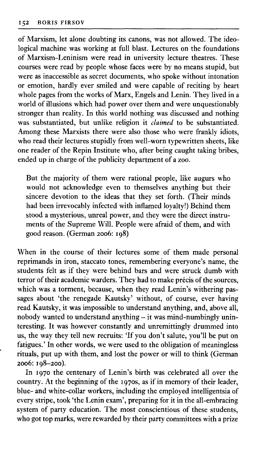of Marxism, let alone doubting its canons, was not allowed. The ideological machine was working at full blast. Lectures on the foundations of Marxism-Leninism were read in university lecture theatres. These courses were read by people whose faces were by no means stupid, but were as inaccessible as secret documents, who spoke without intonation or emotion, hardly ever smiled and were capable of reciting by heart whole pages from the works of Marx, Engels and Lenin. They lived in a world of illusions which had power over them and were unquestionably stronger than reality. In this world nothing was discussed and nothing was substantiated, but unlike religion it *claimed* to be substantiated. Among these Marxists there were also those who were frankly idiots, who read their lectures stupidly from well-worn typewritten sheets, like one reader of the Repin Institute who, after being caught taking bribes, ended up in charge of the publicity department of a zoo.

But the majority of them were rational people, like augurs who would not acknowledge even to themselves anything but their sincere devotion to the ideas that they set forth. (Their minds had been irrevocably infected with inflamed loyalty!) Behind them stood a mysterious, unreal power, and they were the direct instruments of the Supreme Will. People were afraid of them, and with good reason. (German 2006: 198)

When in the course of their lectures some of them made personal reprimands in iron, staccato tones, remembering everyone's name, the students felt as if they were behind bars and were struck dumb with terror of their academic warders. They had to make précis of the sources, which was a torment, because, when they read Lenin's withering passages about 'the renegade Kautsky' without, of course, ever having read Kautsky, it was impossible to understand anything, and, above all, nobody wanted to understand anything – it was mind-numbingly uninteresting. It was however constantly and unremittingly drummed into us, the way they tell new recruits: 'If you don't salute, you'll be put on fatigues.' In other words, we were used to the obligation of meaningless rituals, put up with them, and lost the power or will to think (German 2006: 198-200).

In 1970 the centenary of Lenin's birth was celebrated all over the country. At the beginning of the 1970s, as if in memory of their leader, blue- and white-collar workers, including the employed intelligentsia of every stripe, took 'the Lenin exam', preparing for it in the all-embracing system of party education. The most conscientious of these students, who got top marks, were rewarded by their party committees with a prize